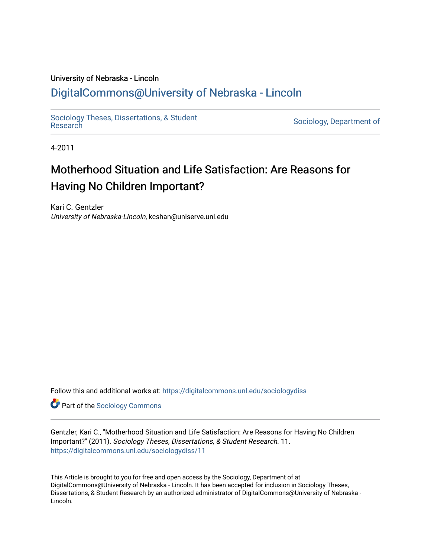# University of Nebraska - Lincoln [DigitalCommons@University of Nebraska - Lincoln](https://digitalcommons.unl.edu/)

[Sociology Theses, Dissertations, & Student](https://digitalcommons.unl.edu/sociologydiss)

Sociology, Department of

4-2011

# Motherhood Situation and Life Satisfaction: Are Reasons for Having No Children Important?

Kari C. Gentzler University of Nebraska-Lincoln, kcshan@unlserve.unl.edu

Follow this and additional works at: [https://digitalcommons.unl.edu/sociologydiss](https://digitalcommons.unl.edu/sociologydiss?utm_source=digitalcommons.unl.edu%2Fsociologydiss%2F11&utm_medium=PDF&utm_campaign=PDFCoverPages) 

**Part of the [Sociology Commons](http://network.bepress.com/hgg/discipline/416?utm_source=digitalcommons.unl.edu%2Fsociologydiss%2F11&utm_medium=PDF&utm_campaign=PDFCoverPages)** 

Gentzler, Kari C., "Motherhood Situation and Life Satisfaction: Are Reasons for Having No Children Important?" (2011). Sociology Theses, Dissertations, & Student Research. 11. [https://digitalcommons.unl.edu/sociologydiss/11](https://digitalcommons.unl.edu/sociologydiss/11?utm_source=digitalcommons.unl.edu%2Fsociologydiss%2F11&utm_medium=PDF&utm_campaign=PDFCoverPages)

This Article is brought to you for free and open access by the Sociology, Department of at DigitalCommons@University of Nebraska - Lincoln. It has been accepted for inclusion in Sociology Theses, Dissertations, & Student Research by an authorized administrator of DigitalCommons@University of Nebraska -Lincoln.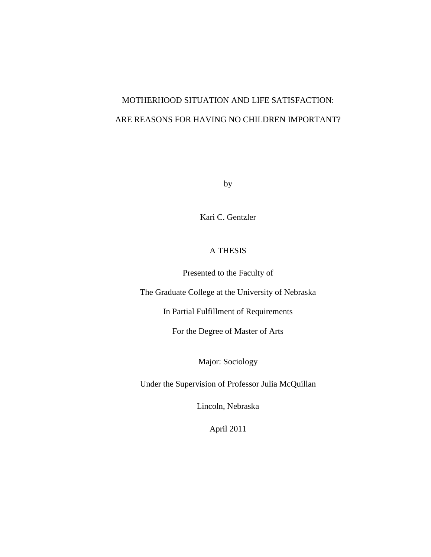# MOTHERHOOD SITUATION AND LIFE SATISFACTION: ARE REASONS FOR HAVING NO CHILDREN IMPORTANT?

by

Kari C. Gentzler

# A THESIS

Presented to the Faculty of

The Graduate College at the University of Nebraska

In Partial Fulfillment of Requirements

For the Degree of Master of Arts

Major: Sociology

Under the Supervision of Professor Julia McQuillan

Lincoln, Nebraska

April 2011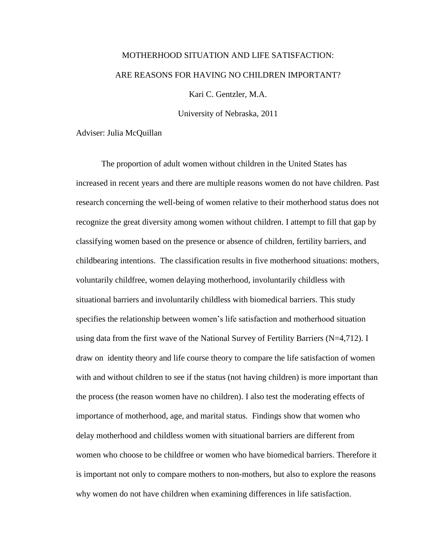# MOTHERHOOD SITUATION AND LIFE SATISFACTION: ARE REASONS FOR HAVING NO CHILDREN IMPORTANT?

Kari C. Gentzler, M.A.

University of Nebraska, 2011

Adviser: Julia McQuillan

The proportion of adult women without children in the United States has increased in recent years and there are multiple reasons women do not have children. Past research concerning the well-being of women relative to their motherhood status does not recognize the great diversity among women without children. I attempt to fill that gap by classifying women based on the presence or absence of children, fertility barriers, and childbearing intentions. The classification results in five motherhood situations: mothers, voluntarily childfree, women delaying motherhood, involuntarily childless with situational barriers and involuntarily childless with biomedical barriers. This study specifies the relationship between women's life satisfaction and motherhood situation using data from the first wave of the National Survey of Fertility Barriers (N=4,712). I draw on identity theory and life course theory to compare the life satisfaction of women with and without children to see if the status (not having children) is more important than the process (the reason women have no children). I also test the moderating effects of importance of motherhood, age, and marital status. Findings show that women who delay motherhood and childless women with situational barriers are different from women who choose to be childfree or women who have biomedical barriers. Therefore it is important not only to compare mothers to non-mothers, but also to explore the reasons why women do not have children when examining differences in life satisfaction.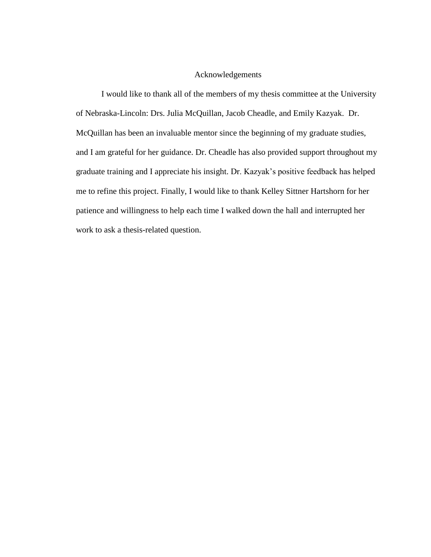# Acknowledgements

I would like to thank all of the members of my thesis committee at the University of Nebraska-Lincoln: Drs. Julia McQuillan, Jacob Cheadle, and Emily Kazyak. Dr. McQuillan has been an invaluable mentor since the beginning of my graduate studies, and I am grateful for her guidance. Dr. Cheadle has also provided support throughout my graduate training and I appreciate his insight. Dr. Kazyak's positive feedback has helped me to refine this project. Finally, I would like to thank Kelley Sittner Hartshorn for her patience and willingness to help each time I walked down the hall and interrupted her work to ask a thesis-related question.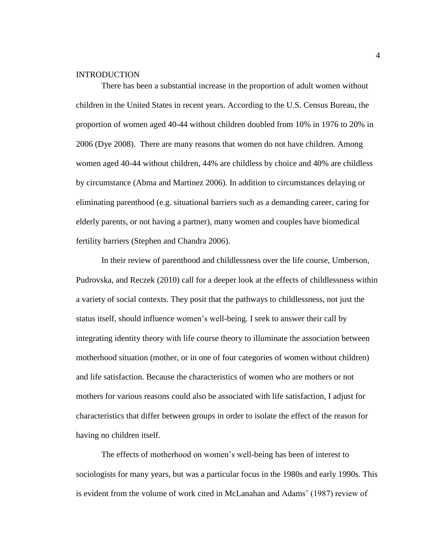## **INTRODUCTION**

There has been a substantial increase in the proportion of adult women without children in the United States in recent years. According to the U.S. Census Bureau, the proportion of women aged 40-44 without children doubled from 10% in 1976 to 20% in 2006 (Dye 2008). There are many reasons that women do not have children. Among women aged 40-44 without children, 44% are childless by choice and 40% are childless by circumstance (Abma and Martinez 2006). In addition to circumstances delaying or eliminating parenthood (e.g. situational barriers such as a demanding career, caring for elderly parents, or not having a partner), many women and couples have biomedical fertility barriers (Stephen and Chandra 2006).

In their review of parenthood and childlessness over the life course, Umberson, Pudrovska, and Reczek (2010) call for a deeper look at the effects of childlessness within a variety of social contexts. They posit that the pathways to childlessness, not just the status itself, should influence women's well-being. I seek to answer their call by integrating identity theory with life course theory to illuminate the association between motherhood situation (mother, or in one of four categories of women without children) and life satisfaction. Because the characteristics of women who are mothers or not mothers for various reasons could also be associated with life satisfaction, I adjust for characteristics that differ between groups in order to isolate the effect of the reason for having no children itself.

The effects of motherhood on women's well-being has been of interest to sociologists for many years, but was a particular focus in the 1980s and early 1990s. This is evident from the volume of work cited in McLanahan and Adams' (1987) review of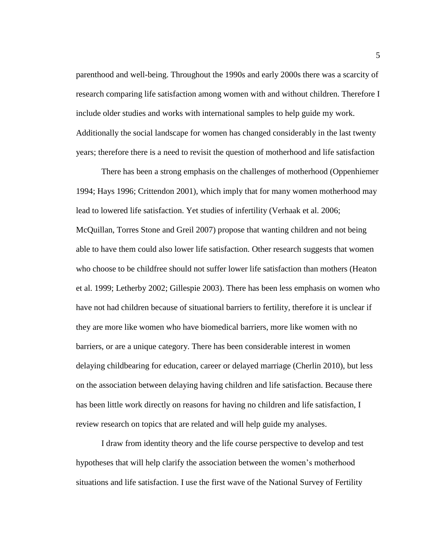parenthood and well-being. Throughout the 1990s and early 2000s there was a scarcity of research comparing life satisfaction among women with and without children. Therefore I include older studies and works with international samples to help guide my work. Additionally the social landscape for women has changed considerably in the last twenty years; therefore there is a need to revisit the question of motherhood and life satisfaction

There has been a strong emphasis on the challenges of motherhood (Oppenhiemer 1994; Hays 1996; Crittendon 2001), which imply that for many women motherhood may lead to lowered life satisfaction. Yet studies of infertility (Verhaak et al. 2006; McQuillan, Torres Stone and Greil 2007) propose that wanting children and not being able to have them could also lower life satisfaction. Other research suggests that women who choose to be childfree should not suffer lower life satisfaction than mothers (Heaton et al. 1999; Letherby 2002; Gillespie 2003). There has been less emphasis on women who have not had children because of situational barriers to fertility, therefore it is unclear if they are more like women who have biomedical barriers, more like women with no barriers, or are a unique category. There has been considerable interest in women delaying childbearing for education, career or delayed marriage (Cherlin 2010), but less on the association between delaying having children and life satisfaction. Because there has been little work directly on reasons for having no children and life satisfaction, I review research on topics that are related and will help guide my analyses.

I draw from identity theory and the life course perspective to develop and test hypotheses that will help clarify the association between the women's motherhood situations and life satisfaction. I use the first wave of the National Survey of Fertility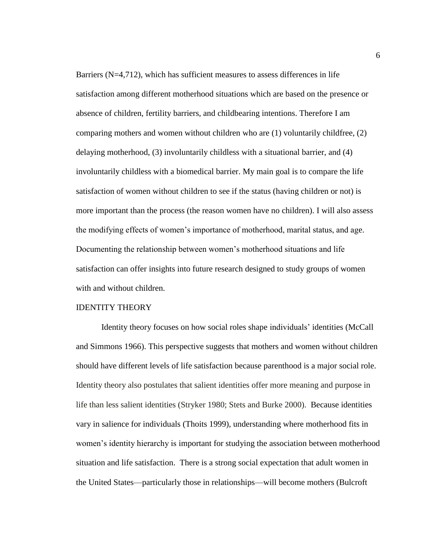Barriers (N=4,712), which has sufficient measures to assess differences in life satisfaction among different motherhood situations which are based on the presence or absence of children, fertility barriers, and childbearing intentions. Therefore I am comparing mothers and women without children who are (1) voluntarily childfree, (2) delaying motherhood, (3) involuntarily childless with a situational barrier, and (4) involuntarily childless with a biomedical barrier. My main goal is to compare the life satisfaction of women without children to see if the status (having children or not) is more important than the process (the reason women have no children). I will also assess the modifying effects of women's importance of motherhood, marital status, and age. Documenting the relationship between women's motherhood situations and life satisfaction can offer insights into future research designed to study groups of women with and without children.

#### IDENTITY THEORY

Identity theory focuses on how social roles shape individuals' identities (McCall and Simmons 1966). This perspective suggests that mothers and women without children should have different levels of life satisfaction because parenthood is a major social role. Identity theory also postulates that salient identities offer more meaning and purpose in life than less salient identities (Stryker 1980; Stets and Burke 2000). Because identities vary in salience for individuals (Thoits 1999), understanding where motherhood fits in women's identity hierarchy is important for studying the association between motherhood situation and life satisfaction. There is a strong social expectation that adult women in the United States—particularly those in relationships—will become mothers (Bulcroft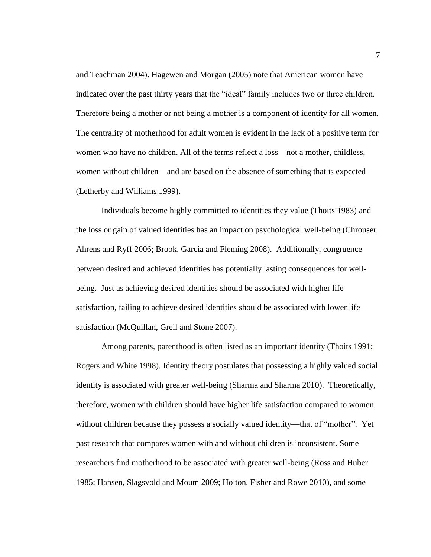and Teachman 2004). Hagewen and Morgan (2005) note that American women have indicated over the past thirty years that the "ideal" family includes two or three children. Therefore being a mother or not being a mother is a component of identity for all women. The centrality of motherhood for adult women is evident in the lack of a positive term for women who have no children. All of the terms reflect a loss—not a mother, childless, women without children—and are based on the absence of something that is expected (Letherby and Williams 1999).

Individuals become highly committed to identities they value (Thoits 1983) and the loss or gain of valued identities has an impact on psychological well-being (Chrouser Ahrens and Ryff 2006; Brook, Garcia and Fleming 2008). Additionally, congruence between desired and achieved identities has potentially lasting consequences for wellbeing. Just as achieving desired identities should be associated with higher life satisfaction, failing to achieve desired identities should be associated with lower life satisfaction (McQuillan, Greil and Stone 2007).

Among parents, parenthood is often listed as an important identity (Thoits 1991; Rogers and White 1998). Identity theory postulates that possessing a highly valued social identity is associated with greater well-being (Sharma and Sharma 2010). Theoretically, therefore, women with children should have higher life satisfaction compared to women without children because they possess a socially valued identity—that of "mother". Yet past research that compares women with and without children is inconsistent. Some researchers find motherhood to be associated with greater well-being (Ross and Huber 1985; Hansen, Slagsvold and Moum 2009; Holton, Fisher and Rowe 2010), and some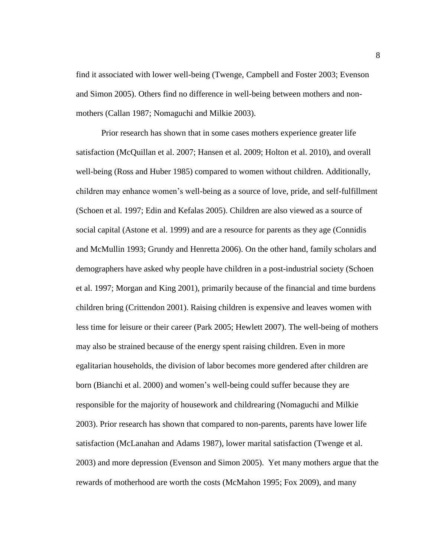find it associated with lower well-being (Twenge, Campbell and Foster 2003; Evenson and Simon 2005). Others find no difference in well-being between mothers and nonmothers (Callan 1987; Nomaguchi and Milkie 2003).

Prior research has shown that in some cases mothers experience greater life satisfaction (McQuillan et al. 2007; Hansen et al. 2009; Holton et al. 2010), and overall well-being (Ross and Huber 1985) compared to women without children. Additionally, children may enhance women's well-being as a source of love, pride, and self-fulfillment (Schoen et al. 1997; Edin and Kefalas 2005). Children are also viewed as a source of social capital (Astone et al. 1999) and are a resource for parents as they age (Connidis and McMullin 1993; Grundy and Henretta 2006). On the other hand, family scholars and demographers have asked why people have children in a post-industrial society (Schoen et al. 1997; Morgan and King 2001), primarily because of the financial and time burdens children bring (Crittendon 2001). Raising children is expensive and leaves women with less time for leisure or their career (Park 2005; Hewlett 2007). The well-being of mothers may also be strained because of the energy spent raising children. Even in more egalitarian households, the division of labor becomes more gendered after children are born (Bianchi et al. 2000) and women's well-being could suffer because they are responsible for the majority of housework and childrearing (Nomaguchi and Milkie 2003). Prior research has shown that compared to non-parents, parents have lower life satisfaction (McLanahan and Adams 1987), lower marital satisfaction (Twenge et al. 2003) and more depression (Evenson and Simon 2005). Yet many mothers argue that the rewards of motherhood are worth the costs (McMahon 1995; Fox 2009), and many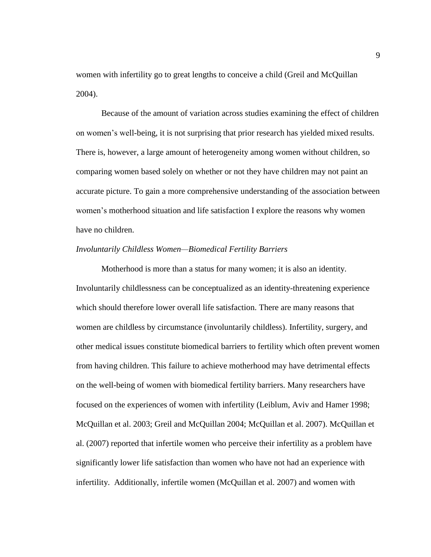women with infertility go to great lengths to conceive a child (Greil and McQuillan 2004).

Because of the amount of variation across studies examining the effect of children on women's well-being, it is not surprising that prior research has yielded mixed results. There is, however, a large amount of heterogeneity among women without children, so comparing women based solely on whether or not they have children may not paint an accurate picture. To gain a more comprehensive understanding of the association between women's motherhood situation and life satisfaction I explore the reasons why women have no children.

#### *Involuntarily Childless Women—Biomedical Fertility Barriers*

Motherhood is more than a status for many women; it is also an identity. Involuntarily childlessness can be conceptualized as an identity-threatening experience which should therefore lower overall life satisfaction. There are many reasons that women are childless by circumstance (involuntarily childless). Infertility, surgery, and other medical issues constitute biomedical barriers to fertility which often prevent women from having children. This failure to achieve motherhood may have detrimental effects on the well-being of women with biomedical fertility barriers. Many researchers have focused on the experiences of women with infertility (Leiblum, Aviv and Hamer 1998; McQuillan et al. 2003; Greil and McQuillan 2004; McQuillan et al. 2007). McQuillan et al. (2007) reported that infertile women who perceive their infertility as a problem have significantly lower life satisfaction than women who have not had an experience with infertility. Additionally, infertile women (McQuillan et al. 2007) and women with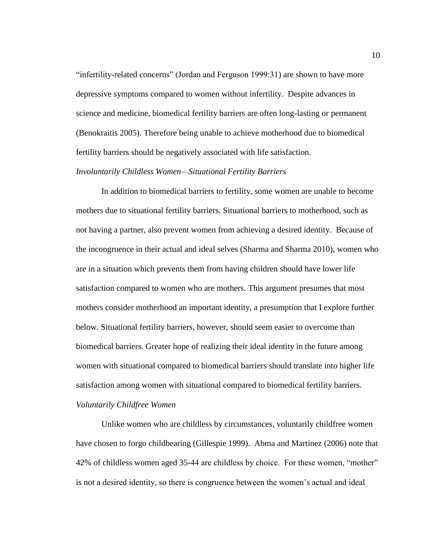"infertility-related concerns" (Jordan and Ferguson 1999:31) are shown to have more depressive symptoms compared to women without infertility. Despite advances in science and medicine, biomedical fertility barriers are often long-lasting or permanent (Benokraitis 2005). Therefore being unable to achieve motherhood due to biomedical fertility barriers should be negatively associated with life satisfaction.

### *Involuntarily Childless Women—Situational Fertility Barriers*

In addition to biomedical barriers to fertility, some women are unable to become mothers due to situational fertility barriers. Situational barriers to motherhood, such as not having a partner, also prevent women from achieving a desired identity. Because of the incongruence in their actual and ideal selves (Sharma and Sharma 2010), women who are in a situation which prevents them from having children should have lower life satisfaction compared to women who are mothers. This argument presumes that most mothers consider motherhood an important identity, a presumption that I explore further below. Situational fertility barriers, however, should seem easier to overcome than biomedical barriers. Greater hope of realizing their ideal identity in the future among women with situational compared to biomedical barriers should translate into higher life satisfaction among women with situational compared to biomedical fertility barriers. *Voluntarily Childfree Women* 

Unlike women who are childless by circumstances, voluntarily childfree women have chosen to forgo childbearing (Gillespie 1999). Abma and Martinez (2006) note that 42% of childless women aged 35-44 are childless by choice. For these women, "mother" is not a desired identity, so there is congruence between the women's actual and ideal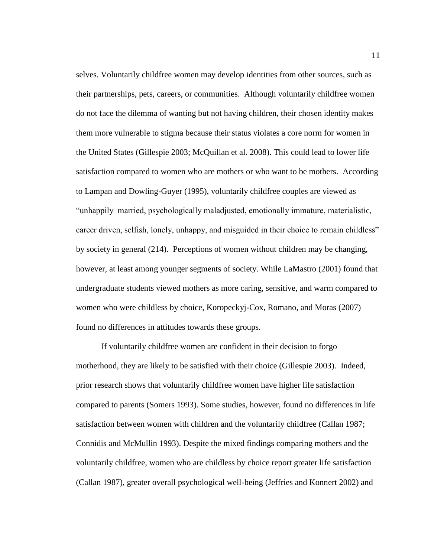selves. Voluntarily childfree women may develop identities from other sources, such as their partnerships, pets, careers, or communities. Although voluntarily childfree women do not face the dilemma of wanting but not having children, their chosen identity makes them more vulnerable to stigma because their status violates a core norm for women in the United States (Gillespie 2003; McQuillan et al. 2008). This could lead to lower life satisfaction compared to women who are mothers or who want to be mothers. According to Lampan and Dowling-Guyer (1995), voluntarily childfree couples are viewed as "unhappily married, psychologically maladjusted, emotionally immature, materialistic, career driven, selfish, lonely, unhappy, and misguided in their choice to remain childless" by society in general (214). Perceptions of women without children may be changing, however, at least among younger segments of society. While LaMastro (2001) found that undergraduate students viewed mothers as more caring, sensitive, and warm compared to women who were childless by choice, Koropeckyj-Cox, Romano, and Moras (2007) found no differences in attitudes towards these groups.

If voluntarily childfree women are confident in their decision to forgo motherhood, they are likely to be satisfied with their choice (Gillespie 2003). Indeed, prior research shows that voluntarily childfree women have higher life satisfaction compared to parents (Somers 1993). Some studies, however, found no differences in life satisfaction between women with children and the voluntarily childfree (Callan 1987; Connidis and McMullin 1993). Despite the mixed findings comparing mothers and the voluntarily childfree, women who are childless by choice report greater life satisfaction (Callan 1987), greater overall psychological well-being (Jeffries and Konnert 2002) and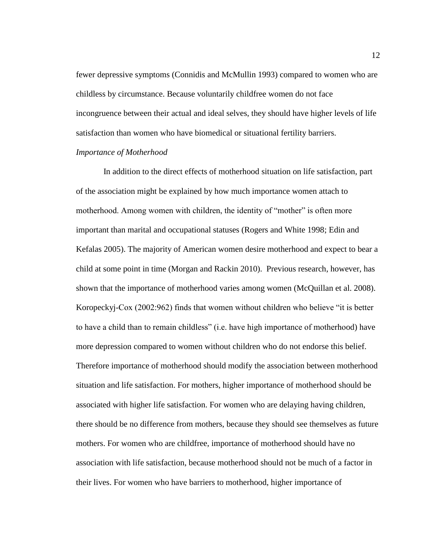fewer depressive symptoms (Connidis and McMullin 1993) compared to women who are childless by circumstance. Because voluntarily childfree women do not face incongruence between their actual and ideal selves, they should have higher levels of life satisfaction than women who have biomedical or situational fertility barriers.

### *Importance of Motherhood*

In addition to the direct effects of motherhood situation on life satisfaction, part of the association might be explained by how much importance women attach to motherhood. Among women with children, the identity of "mother" is often more important than marital and occupational statuses (Rogers and White 1998; Edin and Kefalas 2005). The majority of American women desire motherhood and expect to bear a child at some point in time (Morgan and Rackin 2010). Previous research, however, has shown that the importance of motherhood varies among women (McQuillan et al. 2008). Koropeckyj-Cox (2002:962) finds that women without children who believe "it is better to have a child than to remain childless" (i.e. have high importance of motherhood) have more depression compared to women without children who do not endorse this belief. Therefore importance of motherhood should modify the association between motherhood situation and life satisfaction. For mothers, higher importance of motherhood should be associated with higher life satisfaction. For women who are delaying having children, there should be no difference from mothers, because they should see themselves as future mothers. For women who are childfree, importance of motherhood should have no association with life satisfaction, because motherhood should not be much of a factor in their lives. For women who have barriers to motherhood, higher importance of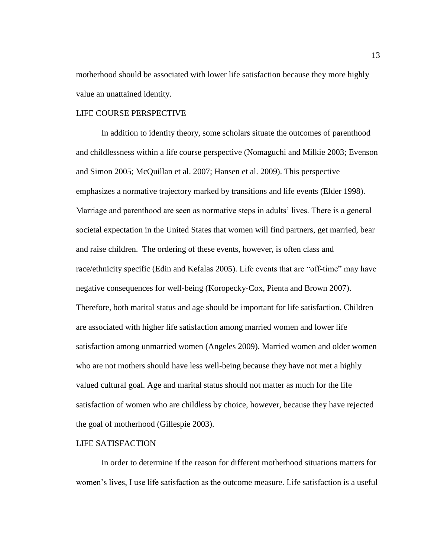motherhood should be associated with lower life satisfaction because they more highly value an unattained identity.

#### LIFE COURSE PERSPECTIVE

In addition to identity theory, some scholars situate the outcomes of parenthood and childlessness within a life course perspective (Nomaguchi and Milkie 2003; Evenson and Simon 2005; McQuillan et al. 2007; Hansen et al. 2009). This perspective emphasizes a normative trajectory marked by transitions and life events (Elder 1998). Marriage and parenthood are seen as normative steps in adults' lives. There is a general societal expectation in the United States that women will find partners, get married, bear and raise children. The ordering of these events, however, is often class and race/ethnicity specific (Edin and Kefalas 2005). Life events that are "off-time" may have negative consequences for well-being (Koropecky-Cox, Pienta and Brown 2007). Therefore, both marital status and age should be important for life satisfaction. Children are associated with higher life satisfaction among married women and lower life satisfaction among unmarried women (Angeles 2009). Married women and older women who are not mothers should have less well-being because they have not met a highly valued cultural goal. Age and marital status should not matter as much for the life satisfaction of women who are childless by choice, however, because they have rejected the goal of motherhood (Gillespie 2003).

#### LIFE SATISFACTION

In order to determine if the reason for different motherhood situations matters for women's lives, I use life satisfaction as the outcome measure. Life satisfaction is a useful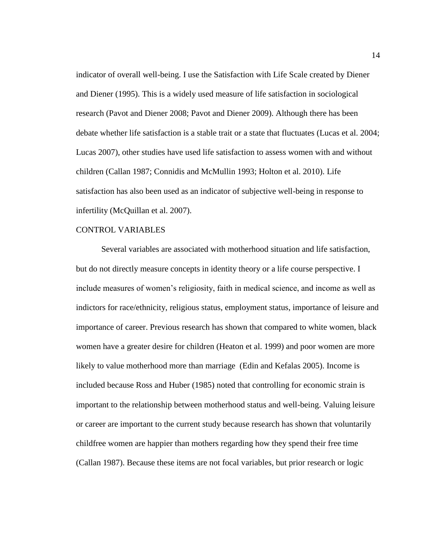indicator of overall well-being. I use the Satisfaction with Life Scale created by Diener and Diener (1995). This is a widely used measure of life satisfaction in sociological research (Pavot and Diener 2008; Pavot and Diener 2009). Although there has been debate whether life satisfaction is a stable trait or a state that fluctuates (Lucas et al. 2004; Lucas 2007), other studies have used life satisfaction to assess women with and without children (Callan 1987; Connidis and McMullin 1993; Holton et al. 2010). Life satisfaction has also been used as an indicator of subjective well-being in response to infertility (McQuillan et al. 2007).

#### CONTROL VARIABLES

Several variables are associated with motherhood situation and life satisfaction, but do not directly measure concepts in identity theory or a life course perspective. I include measures of women's religiosity, faith in medical science, and income as well as indictors for race/ethnicity, religious status, employment status, importance of leisure and importance of career. Previous research has shown that compared to white women, black women have a greater desire for children (Heaton et al. 1999) and poor women are more likely to value motherhood more than marriage (Edin and Kefalas 2005). Income is included because Ross and Huber (1985) noted that controlling for economic strain is important to the relationship between motherhood status and well-being. Valuing leisure or career are important to the current study because research has shown that voluntarily childfree women are happier than mothers regarding how they spend their free time (Callan 1987). Because these items are not focal variables, but prior research or logic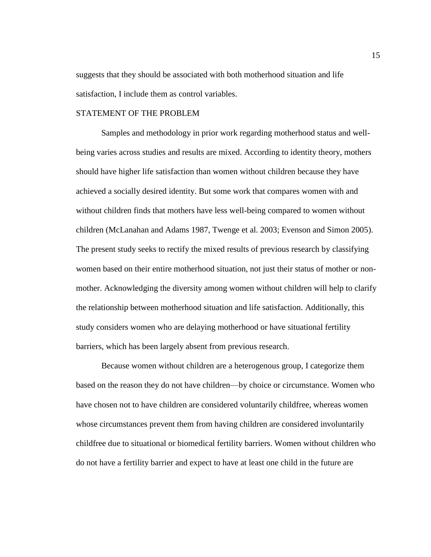suggests that they should be associated with both motherhood situation and life satisfaction, I include them as control variables.

# STATEMENT OF THE PROBLEM

Samples and methodology in prior work regarding motherhood status and wellbeing varies across studies and results are mixed. According to identity theory, mothers should have higher life satisfaction than women without children because they have achieved a socially desired identity. But some work that compares women with and without children finds that mothers have less well-being compared to women without children (McLanahan and Adams 1987, Twenge et al. 2003; Evenson and Simon 2005). The present study seeks to rectify the mixed results of previous research by classifying women based on their entire motherhood situation, not just their status of mother or nonmother. Acknowledging the diversity among women without children will help to clarify the relationship between motherhood situation and life satisfaction. Additionally, this study considers women who are delaying motherhood or have situational fertility barriers, which has been largely absent from previous research.

Because women without children are a heterogenous group, I categorize them based on the reason they do not have children—by choice or circumstance. Women who have chosen not to have children are considered voluntarily childfree, whereas women whose circumstances prevent them from having children are considered involuntarily childfree due to situational or biomedical fertility barriers. Women without children who do not have a fertility barrier and expect to have at least one child in the future are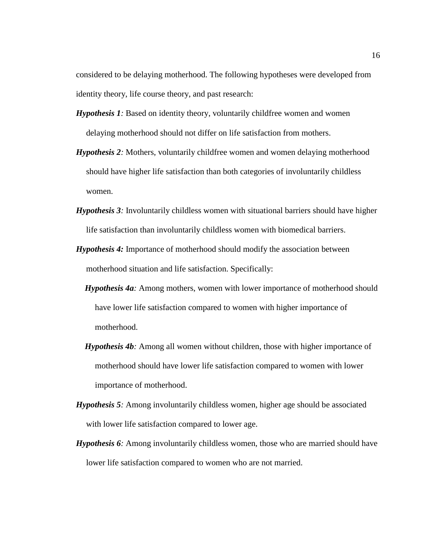considered to be delaying motherhood. The following hypotheses were developed from identity theory, life course theory, and past research:

- *Hypothesis 1:* Based on identity theory, voluntarily childfree women and women delaying motherhood should not differ on life satisfaction from mothers.
- *Hypothesis 2:* Mothers, voluntarily childfree women and women delaying motherhood should have higher life satisfaction than both categories of involuntarily childless women.
- *Hypothesis 3:* Involuntarily childless women with situational barriers should have higher life satisfaction than involuntarily childless women with biomedical barriers.
- *Hypothesis 4:* Importance of motherhood should modify the association between motherhood situation and life satisfaction. Specifically:
	- *Hypothesis 4a:* Among mothers, women with lower importance of motherhood should have lower life satisfaction compared to women with higher importance of motherhood.
	- *Hypothesis 4b:* Among all women without children, those with higher importance of motherhood should have lower life satisfaction compared to women with lower importance of motherhood.
- *Hypothesis 5:* Among involuntarily childless women, higher age should be associated with lower life satisfaction compared to lower age.
- *Hypothesis 6:* Among involuntarily childless women, those who are married should have lower life satisfaction compared to women who are not married.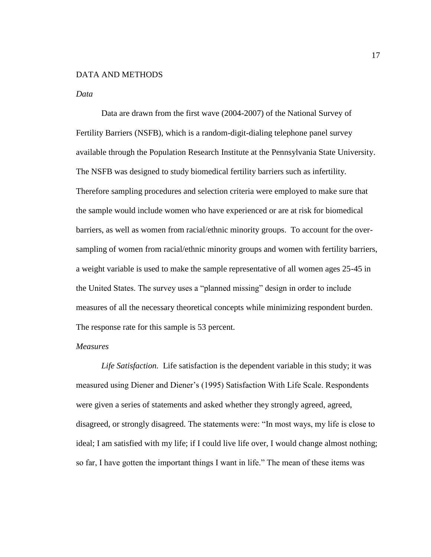#### DATA AND METHODS

#### *Data*

Data are drawn from the first wave (2004-2007) of the National Survey of Fertility Barriers (NSFB), which is a random-digit-dialing telephone panel survey available through the Population Research Institute at the Pennsylvania State University. The NSFB was designed to study biomedical fertility barriers such as infertility. Therefore sampling procedures and selection criteria were employed to make sure that the sample would include women who have experienced or are at risk for biomedical barriers, as well as women from racial/ethnic minority groups. To account for the oversampling of women from racial/ethnic minority groups and women with fertility barriers, a weight variable is used to make the sample representative of all women ages 25-45 in the United States. The survey uses a "planned missing" design in order to include measures of all the necessary theoretical concepts while minimizing respondent burden. The response rate for this sample is 53 percent.

#### *Measures*

*Life Satisfaction.* Life satisfaction is the dependent variable in this study; it was measured using Diener and Diener's (1995) Satisfaction With Life Scale. Respondents were given a series of statements and asked whether they strongly agreed, agreed, disagreed, or strongly disagreed. The statements were: "In most ways, my life is close to ideal; I am satisfied with my life; if I could live life over, I would change almost nothing; so far, I have gotten the important things I want in life." The mean of these items was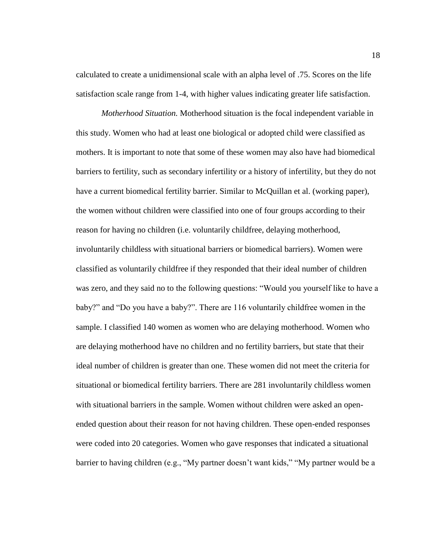calculated to create a unidimensional scale with an alpha level of .75. Scores on the life satisfaction scale range from 1-4, with higher values indicating greater life satisfaction.

*Motherhood Situation.* Motherhood situation is the focal independent variable in this study. Women who had at least one biological or adopted child were classified as mothers. It is important to note that some of these women may also have had biomedical barriers to fertility, such as secondary infertility or a history of infertility, but they do not have a current biomedical fertility barrier. Similar to McQuillan et al. (working paper), the women without children were classified into one of four groups according to their reason for having no children (i.e. voluntarily childfree, delaying motherhood, involuntarily childless with situational barriers or biomedical barriers). Women were classified as voluntarily childfree if they responded that their ideal number of children was zero, and they said no to the following questions: "Would you yourself like to have a baby?" and "Do you have a baby?". There are 116 voluntarily childfree women in the sample. I classified 140 women as women who are delaying motherhood. Women who are delaying motherhood have no children and no fertility barriers, but state that their ideal number of children is greater than one. These women did not meet the criteria for situational or biomedical fertility barriers. There are 281 involuntarily childless women with situational barriers in the sample. Women without children were asked an openended question about their reason for not having children. These open-ended responses were coded into 20 categories. Women who gave responses that indicated a situational barrier to having children (e.g., "My partner doesn't want kids," "My partner would be a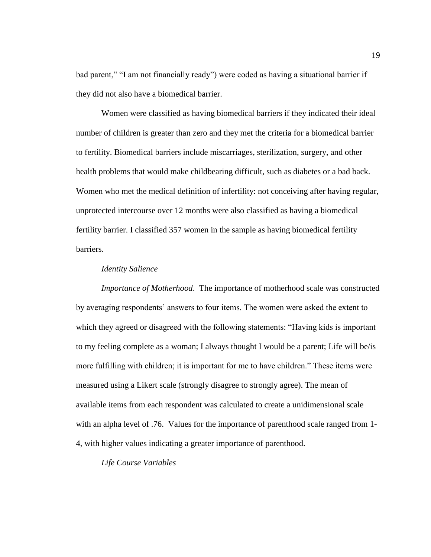bad parent," "I am not financially ready") were coded as having a situational barrier if they did not also have a biomedical barrier.

Women were classified as having biomedical barriers if they indicated their ideal number of children is greater than zero and they met the criteria for a biomedical barrier to fertility. Biomedical barriers include miscarriages, sterilization, surgery, and other health problems that would make childbearing difficult, such as diabetes or a bad back. Women who met the medical definition of infertility: not conceiving after having regular, unprotected intercourse over 12 months were also classified as having a biomedical fertility barrier. I classified 357 women in the sample as having biomedical fertility barriers.

# *Identity Salience*

*Importance of Motherhood*. The importance of motherhood scale was constructed by averaging respondents' answers to four items. The women were asked the extent to which they agreed or disagreed with the following statements: "Having kids is important to my feeling complete as a woman; I always thought I would be a parent; Life will be/is more fulfilling with children; it is important for me to have children." These items were measured using a Likert scale (strongly disagree to strongly agree). The mean of available items from each respondent was calculated to create a unidimensional scale with an alpha level of .76. Values for the importance of parenthood scale ranged from 1- 4, with higher values indicating a greater importance of parenthood.

*Life Course Variables*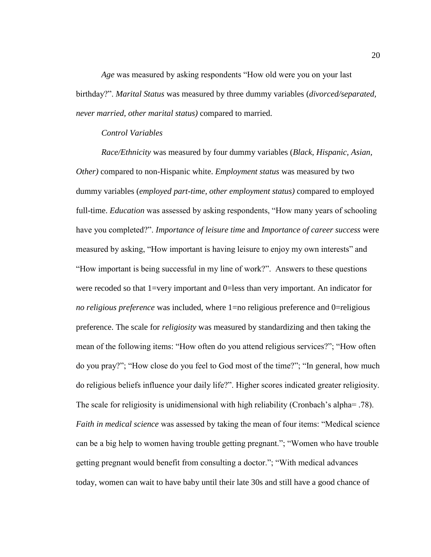*Age* was measured by asking respondents "How old were you on your last birthday?‖. *Marital Status* was measured by three dummy variables (*divorced/separated, never married, other marital status)* compared to married.

#### *Control Variables*

*Race/Ethnicity* was measured by four dummy variables (*Black, Hispanic, Asian, Other)* compared to non-Hispanic white. *Employment status* was measured by two dummy variables (*employed part-time, other employment status)* compared to employed full-time. *Education* was assessed by asking respondents, "How many years of schooling have you completed?‖. *Importance of leisure time* and *Importance of career success* were measured by asking, "How important is having leisure to enjoy my own interests" and "How important is being successful in my line of work?". Answers to these questions were recoded so that 1=very important and 0=less than very important. An indicator for *no religious preference* was included, where 1=no religious preference and 0=religious preference. The scale for *religiosity* was measured by standardizing and then taking the mean of the following items: "How often do you attend religious services?"; "How often do you pray?"; "How close do you feel to God most of the time?"; "In general, how much do religious beliefs influence your daily life?". Higher scores indicated greater religiosity. The scale for religiosity is unidimensional with high reliability (Cronbach's alpha= .78). *Faith in medical science* was assessed by taking the mean of four items: "Medical science" can be a big help to women having trouble getting pregnant."; "Women who have trouble getting pregnant would benefit from consulting a doctor."; "With medical advances" today, women can wait to have baby until their late 30s and still have a good chance of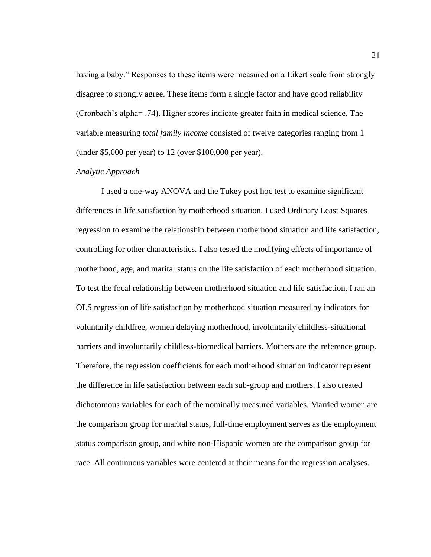having a baby." Responses to these items were measured on a Likert scale from strongly disagree to strongly agree. These items form a single factor and have good reliability (Cronbach's alpha= .74). Higher scores indicate greater faith in medical science. The variable measuring *total family income* consisted of twelve categories ranging from 1 (under \$5,000 per year) to 12 (over \$100,000 per year).

#### *Analytic Approach*

I used a one-way ANOVA and the Tukey post hoc test to examine significant differences in life satisfaction by motherhood situation. I used Ordinary Least Squares regression to examine the relationship between motherhood situation and life satisfaction, controlling for other characteristics. I also tested the modifying effects of importance of motherhood, age, and marital status on the life satisfaction of each motherhood situation. To test the focal relationship between motherhood situation and life satisfaction, I ran an OLS regression of life satisfaction by motherhood situation measured by indicators for voluntarily childfree, women delaying motherhood, involuntarily childless-situational barriers and involuntarily childless-biomedical barriers. Mothers are the reference group. Therefore, the regression coefficients for each motherhood situation indicator represent the difference in life satisfaction between each sub-group and mothers. I also created dichotomous variables for each of the nominally measured variables. Married women are the comparison group for marital status, full-time employment serves as the employment status comparison group, and white non-Hispanic women are the comparison group for race. All continuous variables were centered at their means for the regression analyses.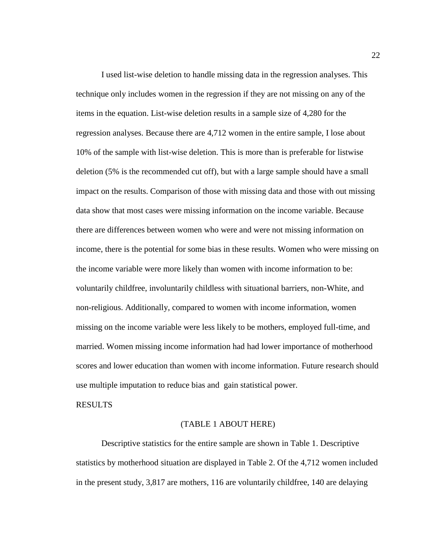I used list-wise deletion to handle missing data in the regression analyses. This technique only includes women in the regression if they are not missing on any of the items in the equation. List-wise deletion results in a sample size of 4,280 for the regression analyses. Because there are 4,712 women in the entire sample, I lose about 10% of the sample with list-wise deletion. This is more than is preferable for listwise deletion (5% is the recommended cut off), but with a large sample should have a small impact on the results. Comparison of those with missing data and those with out missing data show that most cases were missing information on the income variable. Because there are differences between women who were and were not missing information on income, there is the potential for some bias in these results. Women who were missing on the income variable were more likely than women with income information to be: voluntarily childfree, involuntarily childless with situational barriers, non-White, and non-religious. Additionally, compared to women with income information, women missing on the income variable were less likely to be mothers, employed full-time, and married. Women missing income information had had lower importance of motherhood scores and lower education than women with income information. Future research should use multiple imputation to reduce bias and gain statistical power.

#### RESULTS

#### (TABLE 1 ABOUT HERE)

Descriptive statistics for the entire sample are shown in Table 1. Descriptive statistics by motherhood situation are displayed in Table 2. Of the 4,712 women included in the present study, 3,817 are mothers, 116 are voluntarily childfree, 140 are delaying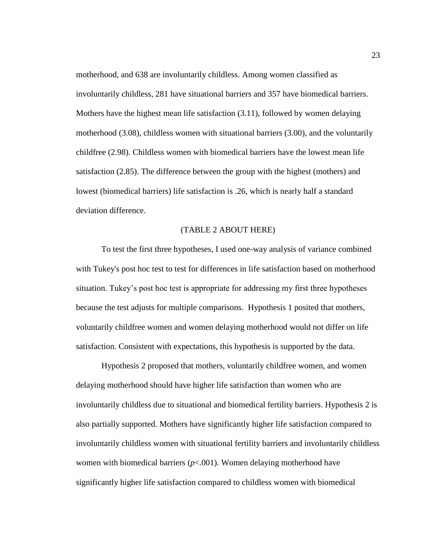motherhood, and 638 are involuntarily childless. Among women classified as involuntarily childless, 281 have situational barriers and 357 have biomedical barriers. Mothers have the highest mean life satisfaction (3.11), followed by women delaying motherhood (3.08), childless women with situational barriers (3.00), and the voluntarily childfree (2.98). Childless women with biomedical barriers have the lowest mean life satisfaction (2.85). The difference between the group with the highest (mothers) and lowest (biomedical barriers) life satisfaction is .26, which is nearly half a standard deviation difference.

#### (TABLE 2 ABOUT HERE)

To test the first three hypotheses, I used one-way analysis of variance combined with Tukey's post hoc test to test for differences in life satisfaction based on motherhood situation. Tukey's post hoc test is appropriate for addressing my first three hypotheses because the test adjusts for multiple comparisons. Hypothesis 1 posited that mothers, voluntarily childfree women and women delaying motherhood would not differ on life satisfaction. Consistent with expectations, this hypothesis is supported by the data.

Hypothesis 2 proposed that mothers, voluntarily childfree women, and women delaying motherhood should have higher life satisfaction than women who are involuntarily childless due to situational and biomedical fertility barriers. Hypothesis 2 is also partially supported. Mothers have significantly higher life satisfaction compared to involuntarily childless women with situational fertility barriers and involuntarily childless women with biomedical barriers  $(p<0.01)$ . Women delaying motherhood have significantly higher life satisfaction compared to childless women with biomedical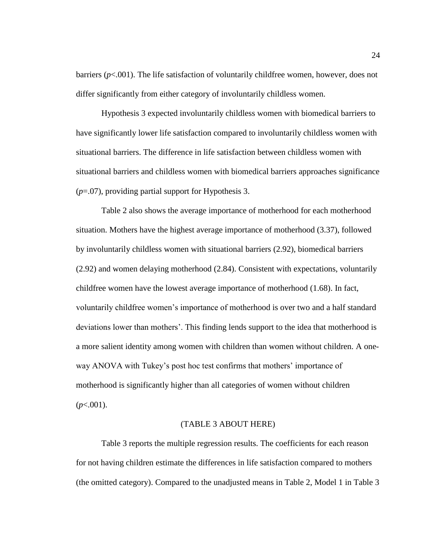barriers (*p*<.001). The life satisfaction of voluntarily childfree women, however, does not differ significantly from either category of involuntarily childless women.

Hypothesis 3 expected involuntarily childless women with biomedical barriers to have significantly lower life satisfaction compared to involuntarily childless women with situational barriers. The difference in life satisfaction between childless women with situational barriers and childless women with biomedical barriers approaches significance (*p*=.07), providing partial support for Hypothesis 3.

Table 2 also shows the average importance of motherhood for each motherhood situation. Mothers have the highest average importance of motherhood (3.37), followed by involuntarily childless women with situational barriers (2.92), biomedical barriers (2.92) and women delaying motherhood (2.84). Consistent with expectations, voluntarily childfree women have the lowest average importance of motherhood (1.68). In fact, voluntarily childfree women's importance of motherhood is over two and a half standard deviations lower than mothers'. This finding lends support to the idea that motherhood is a more salient identity among women with children than women without children. A oneway ANOVA with Tukey's post hoc test confirms that mothers' importance of motherhood is significantly higher than all categories of women without children  $(p<.001)$ .

#### (TABLE 3 ABOUT HERE)

Table 3 reports the multiple regression results. The coefficients for each reason for not having children estimate the differences in life satisfaction compared to mothers (the omitted category). Compared to the unadjusted means in Table 2, Model 1 in Table 3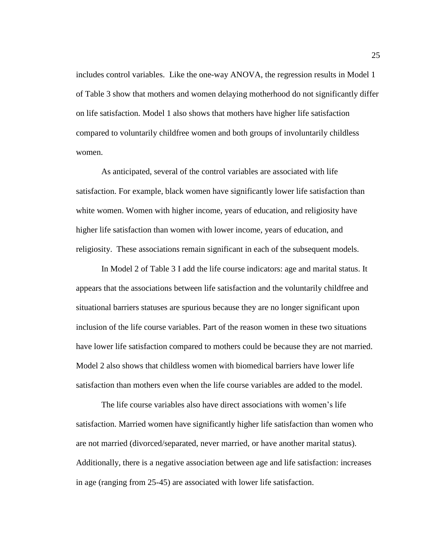includes control variables. Like the one-way ANOVA, the regression results in Model 1 of Table 3 show that mothers and women delaying motherhood do not significantly differ on life satisfaction. Model 1 also shows that mothers have higher life satisfaction compared to voluntarily childfree women and both groups of involuntarily childless women.

As anticipated, several of the control variables are associated with life satisfaction. For example, black women have significantly lower life satisfaction than white women. Women with higher income, years of education, and religiosity have higher life satisfaction than women with lower income, years of education, and religiosity. These associations remain significant in each of the subsequent models.

In Model 2 of Table 3 I add the life course indicators: age and marital status. It appears that the associations between life satisfaction and the voluntarily childfree and situational barriers statuses are spurious because they are no longer significant upon inclusion of the life course variables. Part of the reason women in these two situations have lower life satisfaction compared to mothers could be because they are not married. Model 2 also shows that childless women with biomedical barriers have lower life satisfaction than mothers even when the life course variables are added to the model.

The life course variables also have direct associations with women's life satisfaction. Married women have significantly higher life satisfaction than women who are not married (divorced/separated, never married, or have another marital status). Additionally, there is a negative association between age and life satisfaction: increases in age (ranging from 25-45) are associated with lower life satisfaction.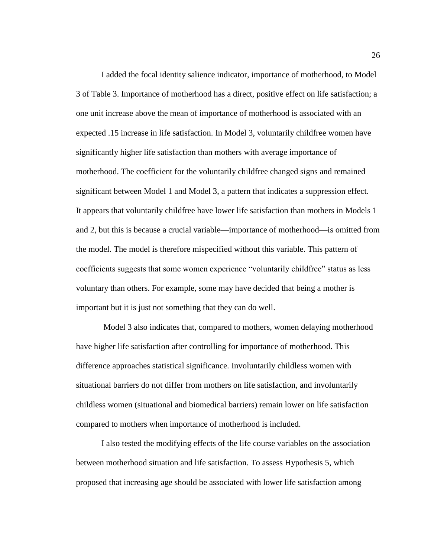I added the focal identity salience indicator, importance of motherhood, to Model 3 of Table 3. Importance of motherhood has a direct, positive effect on life satisfaction; a one unit increase above the mean of importance of motherhood is associated with an expected .15 increase in life satisfaction. In Model 3, voluntarily childfree women have significantly higher life satisfaction than mothers with average importance of motherhood. The coefficient for the voluntarily childfree changed signs and remained significant between Model 1 and Model 3, a pattern that indicates a suppression effect. It appears that voluntarily childfree have lower life satisfaction than mothers in Models 1 and 2, but this is because a crucial variable—importance of motherhood—is omitted from the model. The model is therefore mispecified without this variable. This pattern of coefficients suggests that some women experience "voluntarily childfree" status as less voluntary than others. For example, some may have decided that being a mother is important but it is just not something that they can do well.

Model 3 also indicates that, compared to mothers, women delaying motherhood have higher life satisfaction after controlling for importance of motherhood. This difference approaches statistical significance. Involuntarily childless women with situational barriers do not differ from mothers on life satisfaction, and involuntarily childless women (situational and biomedical barriers) remain lower on life satisfaction compared to mothers when importance of motherhood is included.

I also tested the modifying effects of the life course variables on the association between motherhood situation and life satisfaction. To assess Hypothesis 5, which proposed that increasing age should be associated with lower life satisfaction among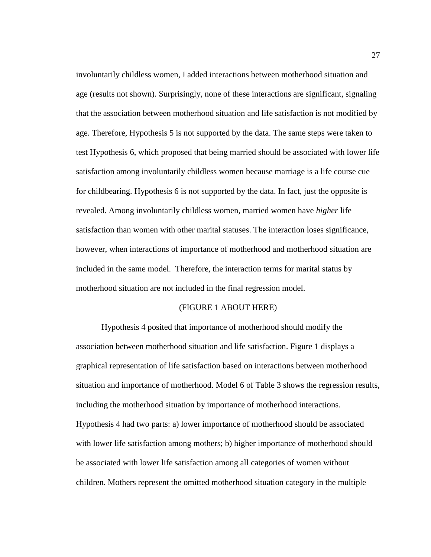involuntarily childless women, I added interactions between motherhood situation and age (results not shown). Surprisingly, none of these interactions are significant, signaling that the association between motherhood situation and life satisfaction is not modified by age. Therefore, Hypothesis 5 is not supported by the data. The same steps were taken to test Hypothesis 6, which proposed that being married should be associated with lower life satisfaction among involuntarily childless women because marriage is a life course cue for childbearing. Hypothesis 6 is not supported by the data. In fact, just the opposite is revealed. Among involuntarily childless women, married women have *higher* life satisfaction than women with other marital statuses. The interaction loses significance, however, when interactions of importance of motherhood and motherhood situation are included in the same model. Therefore, the interaction terms for marital status by motherhood situation are not included in the final regression model.

#### (FIGURE 1 ABOUT HERE)

Hypothesis 4 posited that importance of motherhood should modify the association between motherhood situation and life satisfaction. Figure 1 displays a graphical representation of life satisfaction based on interactions between motherhood situation and importance of motherhood. Model 6 of Table 3 shows the regression results, including the motherhood situation by importance of motherhood interactions. Hypothesis 4 had two parts: a) lower importance of motherhood should be associated with lower life satisfaction among mothers; b) higher importance of motherhood should be associated with lower life satisfaction among all categories of women without children. Mothers represent the omitted motherhood situation category in the multiple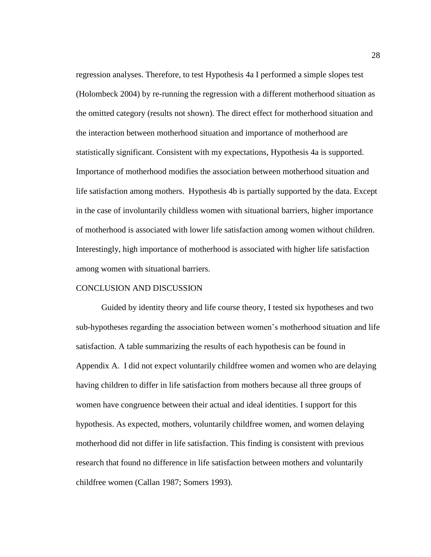regression analyses. Therefore, to test Hypothesis 4a I performed a simple slopes test (Holombeck 2004) by re-running the regression with a different motherhood situation as the omitted category (results not shown). The direct effect for motherhood situation and the interaction between motherhood situation and importance of motherhood are statistically significant. Consistent with my expectations, Hypothesis 4a is supported. Importance of motherhood modifies the association between motherhood situation and life satisfaction among mothers. Hypothesis 4b is partially supported by the data. Except in the case of involuntarily childless women with situational barriers, higher importance of motherhood is associated with lower life satisfaction among women without children. Interestingly, high importance of motherhood is associated with higher life satisfaction among women with situational barriers.

#### CONCLUSION AND DISCUSSION

Guided by identity theory and life course theory, I tested six hypotheses and two sub-hypotheses regarding the association between women's motherhood situation and life satisfaction. A table summarizing the results of each hypothesis can be found in Appendix A. I did not expect voluntarily childfree women and women who are delaying having children to differ in life satisfaction from mothers because all three groups of women have congruence between their actual and ideal identities. I support for this hypothesis. As expected, mothers, voluntarily childfree women, and women delaying motherhood did not differ in life satisfaction. This finding is consistent with previous research that found no difference in life satisfaction between mothers and voluntarily childfree women (Callan 1987; Somers 1993).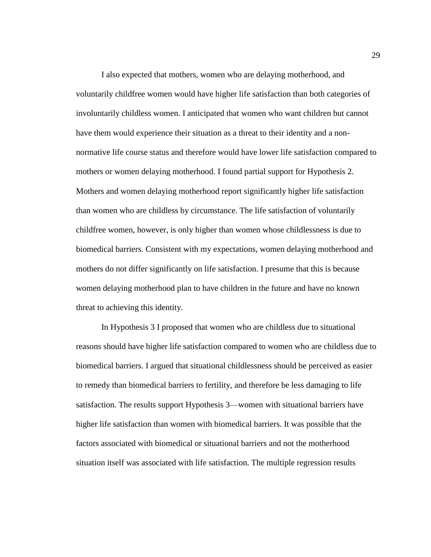I also expected that mothers, women who are delaying motherhood, and voluntarily childfree women would have higher life satisfaction than both categories of involuntarily childless women. I anticipated that women who want children but cannot have them would experience their situation as a threat to their identity and a nonnormative life course status and therefore would have lower life satisfaction compared to mothers or women delaying motherhood. I found partial support for Hypothesis 2. Mothers and women delaying motherhood report significantly higher life satisfaction than women who are childless by circumstance. The life satisfaction of voluntarily childfree women, however, is only higher than women whose childlessness is due to biomedical barriers. Consistent with my expectations, women delaying motherhood and mothers do not differ significantly on life satisfaction. I presume that this is because women delaying motherhood plan to have children in the future and have no known threat to achieving this identity.

In Hypothesis 3 I proposed that women who are childless due to situational reasons should have higher life satisfaction compared to women who are childless due to biomedical barriers. I argued that situational childlessness should be perceived as easier to remedy than biomedical barriers to fertility, and therefore be less damaging to life satisfaction. The results support Hypothesis 3—women with situational barriers have higher life satisfaction than women with biomedical barriers. It was possible that the factors associated with biomedical or situational barriers and not the motherhood situation itself was associated with life satisfaction. The multiple regression results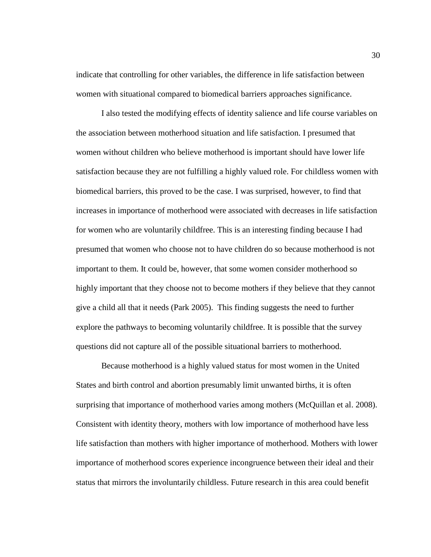indicate that controlling for other variables, the difference in life satisfaction between women with situational compared to biomedical barriers approaches significance.

I also tested the modifying effects of identity salience and life course variables on the association between motherhood situation and life satisfaction. I presumed that women without children who believe motherhood is important should have lower life satisfaction because they are not fulfilling a highly valued role. For childless women with biomedical barriers, this proved to be the case. I was surprised, however, to find that increases in importance of motherhood were associated with decreases in life satisfaction for women who are voluntarily childfree. This is an interesting finding because I had presumed that women who choose not to have children do so because motherhood is not important to them. It could be, however, that some women consider motherhood so highly important that they choose not to become mothers if they believe that they cannot give a child all that it needs (Park 2005). This finding suggests the need to further explore the pathways to becoming voluntarily childfree. It is possible that the survey questions did not capture all of the possible situational barriers to motherhood.

Because motherhood is a highly valued status for most women in the United States and birth control and abortion presumably limit unwanted births, it is often surprising that importance of motherhood varies among mothers (McQuillan et al. 2008). Consistent with identity theory, mothers with low importance of motherhood have less life satisfaction than mothers with higher importance of motherhood. Mothers with lower importance of motherhood scores experience incongruence between their ideal and their status that mirrors the involuntarily childless. Future research in this area could benefit

30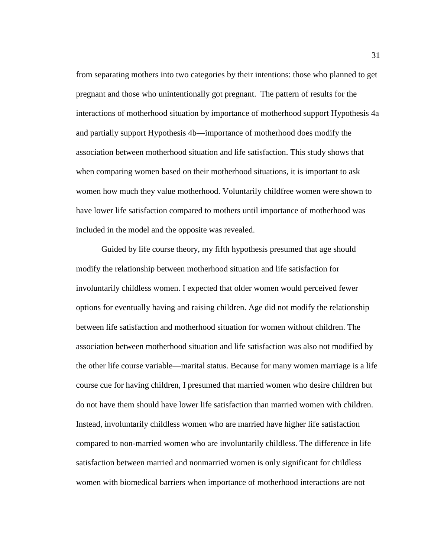from separating mothers into two categories by their intentions: those who planned to get pregnant and those who unintentionally got pregnant. The pattern of results for the interactions of motherhood situation by importance of motherhood support Hypothesis 4a and partially support Hypothesis 4b—importance of motherhood does modify the association between motherhood situation and life satisfaction. This study shows that when comparing women based on their motherhood situations, it is important to ask women how much they value motherhood. Voluntarily childfree women were shown to have lower life satisfaction compared to mothers until importance of motherhood was included in the model and the opposite was revealed.

Guided by life course theory, my fifth hypothesis presumed that age should modify the relationship between motherhood situation and life satisfaction for involuntarily childless women. I expected that older women would perceived fewer options for eventually having and raising children. Age did not modify the relationship between life satisfaction and motherhood situation for women without children. The association between motherhood situation and life satisfaction was also not modified by the other life course variable—marital status. Because for many women marriage is a life course cue for having children, I presumed that married women who desire children but do not have them should have lower life satisfaction than married women with children. Instead, involuntarily childless women who are married have higher life satisfaction compared to non-married women who are involuntarily childless. The difference in life satisfaction between married and nonmarried women is only significant for childless women with biomedical barriers when importance of motherhood interactions are not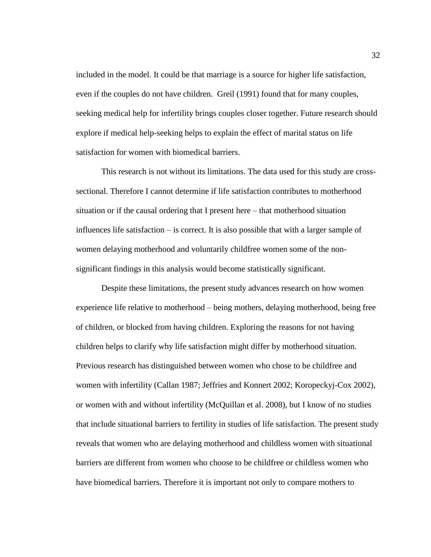included in the model. It could be that marriage is a source for higher life satisfaction, even if the couples do not have children. Greil (1991) found that for many couples, seeking medical help for infertility brings couples closer together. Future research should explore if medical help-seeking helps to explain the effect of marital status on life satisfaction for women with biomedical barriers.

This research is not without its limitations. The data used for this study are crosssectional. Therefore I cannot determine if life satisfaction contributes to motherhood situation or if the causal ordering that I present here – that motherhood situation influences life satisfaction – is correct. It is also possible that with a larger sample of women delaying motherhood and voluntarily childfree women some of the nonsignificant findings in this analysis would become statistically significant.

Despite these limitations, the present study advances research on how women experience life relative to motherhood – being mothers, delaying motherhood, being free of children, or blocked from having children. Exploring the reasons for not having children helps to clarify why life satisfaction might differ by motherhood situation. Previous research has distinguished between women who chose to be childfree and women with infertility (Callan 1987; Jeffries and Konnert 2002; Koropeckyj-Cox 2002), or women with and without infertility (McQuillan et al. 2008), but I know of no studies that include situational barriers to fertility in studies of life satisfaction. The present study reveals that women who are delaying motherhood and childless women with situational barriers are different from women who choose to be childfree or childless women who have biomedical barriers. Therefore it is important not only to compare mothers to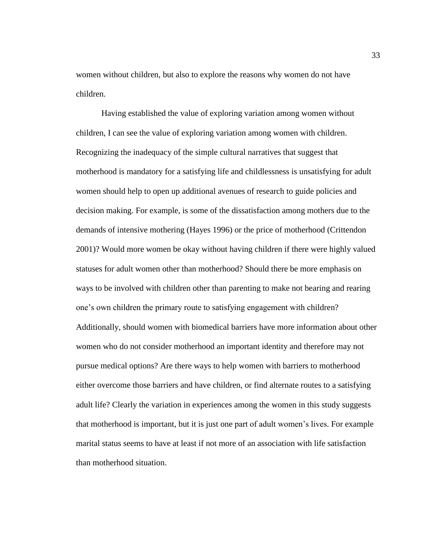women without children, but also to explore the reasons why women do not have children.

Having established the value of exploring variation among women without children, I can see the value of exploring variation among women with children. Recognizing the inadequacy of the simple cultural narratives that suggest that motherhood is mandatory for a satisfying life and childlessness is unsatisfying for adult women should help to open up additional avenues of research to guide policies and decision making. For example, is some of the dissatisfaction among mothers due to the demands of intensive mothering (Hayes 1996) or the price of motherhood (Crittendon 2001)? Would more women be okay without having children if there were highly valued statuses for adult women other than motherhood? Should there be more emphasis on ways to be involved with children other than parenting to make not bearing and rearing one's own children the primary route to satisfying engagement with children? Additionally, should women with biomedical barriers have more information about other women who do not consider motherhood an important identity and therefore may not pursue medical options? Are there ways to help women with barriers to motherhood either overcome those barriers and have children, or find alternate routes to a satisfying adult life? Clearly the variation in experiences among the women in this study suggests that motherhood is important, but it is just one part of adult women's lives. For example marital status seems to have at least if not more of an association with life satisfaction than motherhood situation.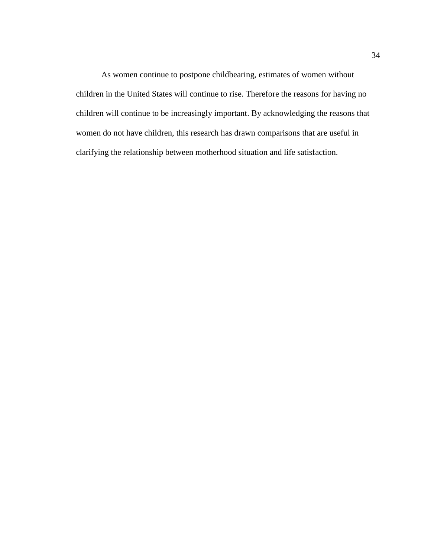As women continue to postpone childbearing, estimates of women without children in the United States will continue to rise. Therefore the reasons for having no children will continue to be increasingly important. By acknowledging the reasons that women do not have children, this research has drawn comparisons that are useful in clarifying the relationship between motherhood situation and life satisfaction.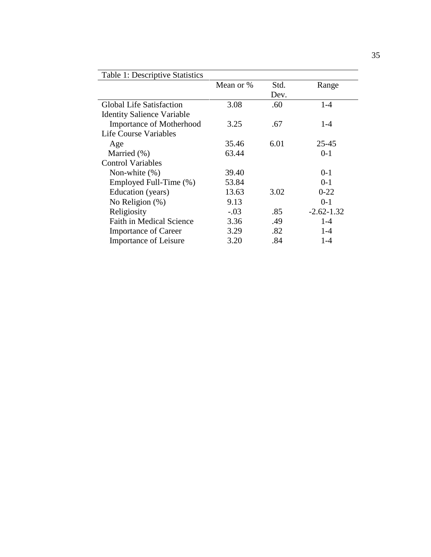| Table 1: Descriptive Statistics   |           |      |                |  |  |  |
|-----------------------------------|-----------|------|----------------|--|--|--|
|                                   | Mean or % | Std. | Range          |  |  |  |
|                                   |           | Dev. |                |  |  |  |
| <b>Global Life Satisfaction</b>   | 3.08      | .60  | $1 - 4$        |  |  |  |
| <b>Identity Salience Variable</b> |           |      |                |  |  |  |
| <b>Importance of Motherhood</b>   | 3.25      | .67  | $1 - 4$        |  |  |  |
| <b>Life Course Variables</b>      |           |      |                |  |  |  |
| Age                               | 35.46     | 6.01 | $25 - 45$      |  |  |  |
| Married $(\%)$                    | 63.44     |      | $0 - 1$        |  |  |  |
| <b>Control Variables</b>          |           |      |                |  |  |  |
| Non-white $(\%)$                  | 39.40     |      | $0 - 1$        |  |  |  |
| Employed Full-Time (%)            | 53.84     |      | $0-1$          |  |  |  |
| Education (years)                 | 13.63     | 3.02 | $0 - 22$       |  |  |  |
| No Religion $(\%)$                | 9.13      |      | $0-1$          |  |  |  |
| Religiosity                       | $-.03$    | .85  | $-2.62 - 1.32$ |  |  |  |
| <b>Faith in Medical Science</b>   | 3.36      | .49  | $1 - 4$        |  |  |  |
| <b>Importance of Career</b>       | 3.29      | .82  | $1 - 4$        |  |  |  |
| Importance of Leisure             | 3.20      | .84  | $1 - 4$        |  |  |  |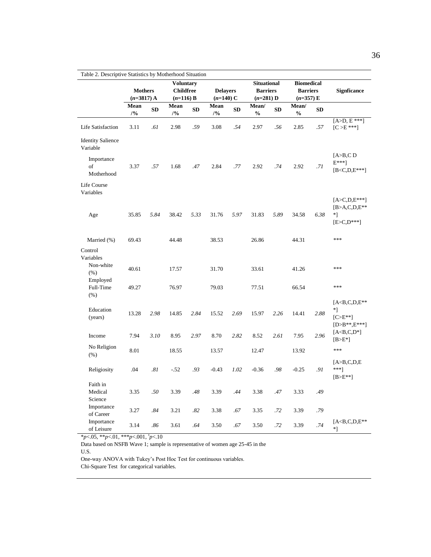| Table 2. Descriptive Statistics by Motherhood Situation |                                |           |                                                     |      |                                |      |                                                      |           |                                                     |           |                                                                             |
|---------------------------------------------------------|--------------------------------|-----------|-----------------------------------------------------|------|--------------------------------|------|------------------------------------------------------|-----------|-----------------------------------------------------|-----------|-----------------------------------------------------------------------------|
|                                                         | <b>Mothers</b><br>$(n=3817)$ A |           | <b>Voluntary</b><br><b>Childfree</b><br>$(n=116) B$ |      | <b>Delayers</b><br>$(n=140)$ C |      | <b>Situational</b><br><b>Barriers</b><br>$(n=281)$ D |           | <b>Biomedical</b><br><b>Barriers</b><br>$(n=357) E$ |           | <b>Signficance</b>                                                          |
|                                                         | Mean<br>/9/0                   | <b>SD</b> | Mean<br>/9/0                                        | SD   | Mean<br>/9/0                   | SD   | Mean/<br>$\frac{0}{0}$                               | <b>SD</b> | Mean/<br>$\frac{0}{0}$                              | <b>SD</b> |                                                                             |
| Life Satisfaction                                       | 3.11                           | .61       | 2.98                                                | .59  | 3.08                           | .54  | 2.97                                                 | .56       | 2.85                                                | .57       | $[A>D, E***]$<br>$[C > E ***]$                                              |
| <b>Identity Salience</b><br>Variable                    |                                |           |                                                     |      |                                |      |                                                      |           |                                                     |           |                                                                             |
| Importance<br>of<br>Motherhood                          | 3.37                           | .57       | 1.68                                                | .47  | 2.84                           | .77  | 2.92                                                 | .74       | 2.92                                                | .71       | [A>B,C D<br>$E^{***}$ ]<br>$[B < C,D,E***]$                                 |
| Life Course<br>Variables                                |                                |           |                                                     |      |                                |      |                                                      |           |                                                     |           |                                                                             |
| Age                                                     | 35.85                          | 5.84      | 38.42                                               | 5.33 | 31.76                          | 5.97 | 31.83                                                | 5.89      | 34.58                                               | 6.38      | $[A > C,D,E***]$<br>$[B > A, C, D, E^{**}]$<br>$*$ ]<br>$[ E > C, D^{***}]$ |
| Married (%)                                             | 69.43                          |           | 44.48                                               |      | 38.53                          |      | 26.86                                                |           | 44.31                                               |           | ***                                                                         |
| Control<br>Variables<br>Non-white                       | 40.61                          |           | 17.57                                               |      | 31.70                          |      | 33.61                                                |           | 41.26                                               |           | ***                                                                         |
| (% )<br>Employed<br>Full-Time<br>(% )                   | 49.27                          |           | 76.97                                               |      | 79.03                          |      | 77.51                                                |           | 66.54                                               |           | ***                                                                         |
| Education<br>(years)                                    | 13.28                          | 2.98      | 14.85                                               | 2.84 | 15.52                          | 2.69 | 15.97                                                | 2.26      | 14.41                                               | 2.88      | $[ACB,C,D,E**]$<br>$*$ ]<br>$[C>E^{**}]$<br>$[D>B^{**},E^{***}]$            |
| Income                                                  | 7.94                           | 3.10      | 8.95                                                | 2.97 | 8.70                           | 2.82 | 8.52                                                 | 2.61      | 7.95                                                | 2.96      | $[A< B, C, D^*]$<br>$[B>E^*]$                                               |
| No Religion<br>(% )                                     | 8.01                           |           | 18.55                                               |      | 13.57                          |      | 12.47                                                |           | 13.92                                               |           | ***                                                                         |
| Religiosity                                             | .04                            | .81       | $-52$                                               | .93  | $-0.43$                        | 1.02 | $-0.36$                                              | .98       | $-0.25$                                             | .91       | [A>B,C,D,E]<br>$***]$<br>$[B>E^{**}]$                                       |
| Faith in<br>Medical<br>Science                          | 3.35                           | .50       | 3.39                                                | .48  | 3.39                           | .44  | 3.38                                                 | .47       | 3.33                                                | .49       |                                                                             |
| Importance<br>of Career                                 | 3.27                           | .84       | 3.21                                                | .82  | 3.38                           | .67  | 3.35                                                 | .72       | 3.39                                                | .79       |                                                                             |
| Importance<br>of Leisure                                | 3.14                           | .86       | 3.61                                                | .64  | 3.50                           | .67  | 3.50                                                 | .72       | 3.39                                                | .74       | $[A< B, C, D, E^{**}$<br>*1                                                 |

\**p*<.05, \*\**p*<.01, \*\*\**p*<.001, τ *p*<.10

Data based on NSFB Wave 1; sample is representative of women age 25-45 in the

U.S.

One-way ANOVA with Tukey's Post Hoc Test for continuous variables.

Chi-Square Test for categorical variables.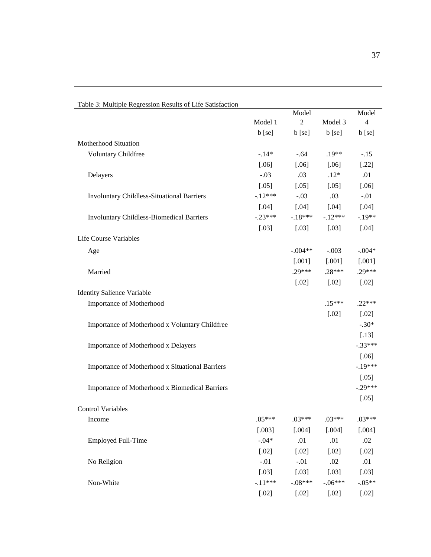| Table 3: Multiple Regression Results of Life Satisfaction |           |                |           |                |
|-----------------------------------------------------------|-----------|----------------|-----------|----------------|
|                                                           |           | Model          |           | Model          |
|                                                           | Model 1   | $\overline{c}$ | Model 3   | $\overline{4}$ |
|                                                           | b [se]    | b [se]         | b [se]    | b [se]         |
| Motherhood Situation                                      |           |                |           |                |
| Voluntary Childfree                                       | $-.14*$   | $-.64$         | $.19**$   | $-.15$         |
|                                                           | $[.06]$   | $[.06]$        | $[.06]$   | $[.22]$        |
| Delayers                                                  | $-.03$    | .03            | $.12*$    | .01            |
|                                                           | $[.05]$   | $[.05]$        | $[.05]$   | $[.06]$        |
| <b>Involuntary Childless-Situational Barriers</b>         | $-12***$  | $-.03$         | .03       | $-.01$         |
|                                                           | $[.04]$   | $[.04]$        | $[.04]$   | $[.04]$        |
| <b>Involuntary Childless-Biomedical Barriers</b>          | $-.23***$ | $-18***$       | $-12***$  | $-.19**$       |
|                                                           | $[.03]$   | $[.03]$        | $[.03]$   | $[.04]$        |
| Life Course Variables                                     |           |                |           |                |
| Age                                                       |           | $-.004**$      | $-.003$   | $-.004*$       |
|                                                           |           | $[.001]$       | [.001]    | [.001]         |
| Married                                                   |           | $.29***$       | $.28***$  | $.29***$       |
|                                                           |           | $[.02]$        | $[.02]$   | $[.02]$        |
| <b>Identity Salience Variable</b>                         |           |                |           |                |
| Importance of Motherhood                                  |           |                | $.15***$  | $.22***$       |
|                                                           |           |                | $[.02]$   | $[.02]$        |
| Importance of Motherhood x Voluntary Childfree            |           |                |           | $-.30*$        |
|                                                           |           |                |           | $[.13]$        |
| Importance of Motherhood x Delayers                       |           |                |           | $-.33***$      |
|                                                           |           |                |           | $[.06]$        |
| Importance of Motherhood x Situational Barriers           |           |                |           | $-.19***$      |
|                                                           |           |                |           | $[.05]$        |
| Importance of Motherhood x Biomedical Barriers            |           |                |           | $-.29***$      |
|                                                           |           |                |           | $[.05]$        |
| <b>Control Variables</b>                                  |           |                |           |                |
| Income                                                    | $.05***$  | $.03***$       | $.03***$  | $.03***$       |
|                                                           | [.003]    | [.004]         | [.004]    | [.004]         |
| <b>Employed Full-Time</b>                                 | $-.04*$   | .01            | .01       | .02            |
|                                                           | $[.02]$   | $[.02]$        | $[.02]$   | $[.02]$        |
| No Religion                                               | $-.01$    | $-.01$         | .02       | .01            |
|                                                           | $[.03]$   | $[.03]$        | $[.03]$   | $[.03]$        |
| Non-White                                                 | $-.11***$ | $-.08***$      | $-.06***$ | $-.05**$       |
|                                                           | $[.02]$   | $[.02]$        | $[.02]$   | $[.02]$        |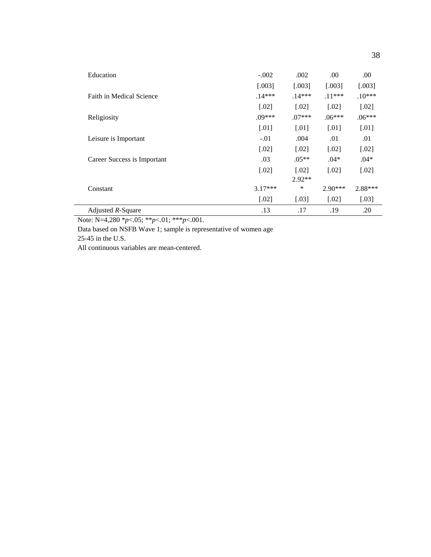| Education                   | $-.002$   | .002     | .00       | .00                  |
|-----------------------------|-----------|----------|-----------|----------------------|
|                             | [.003]    | [.003]   | [.003]    | $[.003]$             |
| Faith in Medical Science    | $.14***$  | $.14***$ | $.11***$  | $.10***$             |
|                             | $[.02]$   | $[.02]$  | $[.02]$   | $[.02]$              |
| Religiosity                 | $.09***$  | $.07***$ | $.06***$  | $.06***$             |
|                             | $[.01]$   | $[.01]$  | $[.01]$   | $[.01]$              |
| Leisure is Important        | $-.01$    | .004     | .01       | .01                  |
|                             | $[.02]$   | $[.02]$  | $[.02]$   | $[.02]$              |
| Career Success is Important | .03       | $.05**$  | $.04*$    | $.04*$               |
|                             | $[.02]$   | $[.02]$  | $[.02]$   | $\left[ .02 \right]$ |
|                             |           | $2.92**$ |           |                      |
| Constant                    | $3.17***$ | *        | $2.90***$ | 2.88***              |
|                             | $[.02]$   | $[.03]$  | $[.02]$   | $[.03]$              |
| Adjusted $R$ -Square        | .13       | .17      | .19       | .20                  |

Note: N=4,280 \**p*<.05; \*\**p*<.01; \*\*\**p*<.001.

Data based on NSFB Wave 1; sample is representative of women age

25-45 in the U.S.

All continuous variables are mean-centered.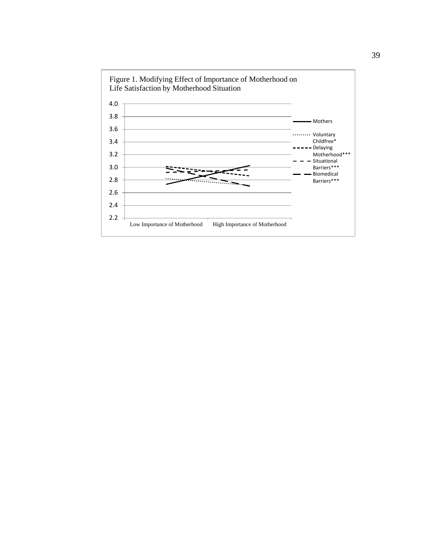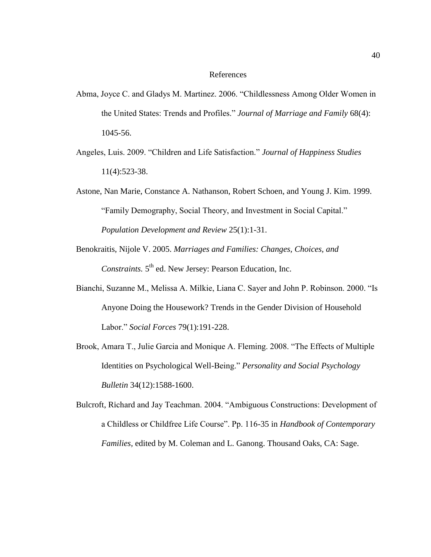#### References

- Abma, Joyce C. and Gladys M. Martinez. 2006. "Childlessness Among Older Women in the United States: Trends and Profiles.‖ *Journal of Marriage and Family* 68(4): 1045-56.
- Angeles, Luis. 2009. "Children and Life Satisfaction." *Journal of Happiness Studies* 11(4):523-38.
- Astone, Nan Marie, Constance A. Nathanson, Robert Schoen, and Young J. Kim. 1999. "Family Demography, Social Theory, and Investment in Social Capital." *Population Development and Review* 25(1):1-31.
- Benokraitis, Nijole V. 2005. *Marriages and Families: Changes, Choices, and*  Constraints. 5<sup>th</sup> ed. New Jersey: Pearson Education, Inc.
- Bianchi, Suzanne M., Melissa A. Milkie, Liana C. Sayer and John P. Robinson. 2000. "Is Anyone Doing the Housework? Trends in the Gender Division of Household Labor.‖ *Social Forces* 79(1):191-228.
- Brook, Amara T., Julie Garcia and Monique A. Fleming. 2008. "The Effects of Multiple Identities on Psychological Well-Being." *Personality and Social Psychology Bulletin* 34(12):1588-1600.
- Bulcroft, Richard and Jay Teachman. 2004. "Ambiguous Constructions: Development of a Childless or Childfree Life Course". Pp. 116-35 in *Handbook of Contemporary Families,* edited by M. Coleman and L. Ganong. Thousand Oaks, CA: Sage.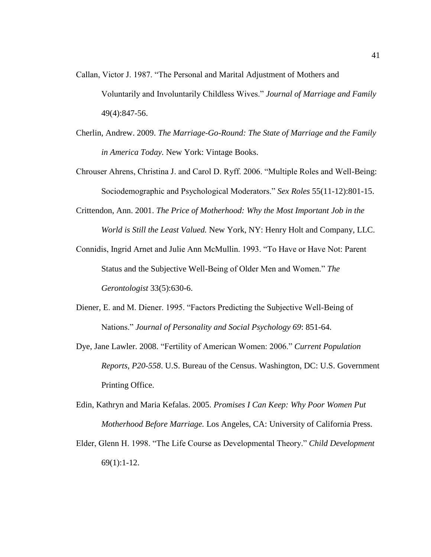- Callan, Victor J. 1987. "The Personal and Marital Adjustment of Mothers and Voluntarily and Involuntarily Childless Wives.‖ *Journal of Marriage and Family*  49(4):847-56.
- Cherlin, Andrew. 2009. *The Marriage-Go-Round: The State of Marriage and the Family in America Today.* New York: Vintage Books.
- Chrouser Ahrens, Christina J. and Carol D. Ryff. 2006. "Multiple Roles and Well-Being: Sociodemographic and Psychological Moderators.‖ *Sex Roles* 55(11-12):801-15.
- Crittendon, Ann. 2001. *The Price of Motherhood: Why the Most Important Job in the World is Still the Least Valued.* New York, NY: Henry Holt and Company, LLC.
- Connidis, Ingrid Arnet and Julie Ann McMullin. 1993. "To Have or Have Not: Parent Status and the Subjective Well-Being of Older Men and Women." *The Gerontologist* 33(5):630-6.
- Diener, E. and M. Diener. 1995. "Factors Predicting the Subjective Well-Being of Nations.‖ *Journal of Personality and Social Psychology 69*: 851-64.
- Dye, Jane Lawler. 2008. "Fertility of American Women: 2006." *Current Population Reports, P20-558*. U.S. Bureau of the Census. Washington, DC: U.S. Government Printing Office.
- Edin, Kathryn and Maria Kefalas. 2005. *Promises I Can Keep: Why Poor Women Put Motherhood Before Marriage.* Los Angeles, CA: University of California Press.
- Elder, Glenn H. 1998. ―The Life Course as Developmental Theory.‖ *Child Development* 69(1):1-12.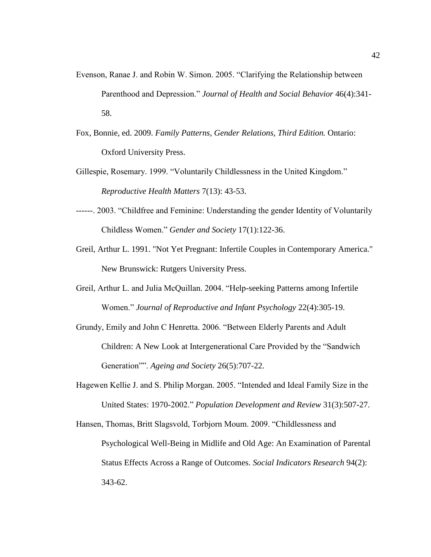- Evenson, Ranae J. and Robin W. Simon. 2005. "Clarifying the Relationship between Parenthood and Depression.‖ *Journal of Health and Social Behavior* 46(4):341- 58.
- Fox, Bonnie, ed. 2009. *Family Patterns, Gender Relations, Third Edition.* Ontario: Oxford University Press.
- Gillespie, Rosemary. 1999. "Voluntarily Childlessness in the United Kingdom." *Reproductive Health Matters* 7(13): 43-53.
- ------. 2003. "Childfree and Feminine: Understanding the gender Identity of Voluntarily Childless Women.‖ *Gender and Society* 17(1):122-36.
- Greil, Arthur L. 1991. "Not Yet Pregnant: Infertile Couples in Contemporary America." New Brunswick: Rutgers University Press.
- Greil, Arthur L. and Julia McQuillan. 2004. "Help-seeking Patterns among Infertile Women.‖ *Journal of Reproductive and Infant Psychology* 22(4):305-19.
- Grundy, Emily and John C Henretta. 2006. "Between Elderly Parents and Adult Children: A New Look at Intergenerational Care Provided by the "Sandwich" Generation<sup>""</sup>. Ageing and Society 26(5):707-22.
- Hagewen Kellie J. and S. Philip Morgan. 2005. "Intended and Ideal Family Size in the United States: 1970-2002.‖ *Population Development and Review* 31(3):507-27.
- Hansen, Thomas, Britt Slagsvold, Torbjorn Moum. 2009. "Childlessness and Psychological Well-Being in Midlife and Old Age: An Examination of Parental Status Effects Across a Range of Outcomes. *Social Indicators Research* 94(2): 343-62.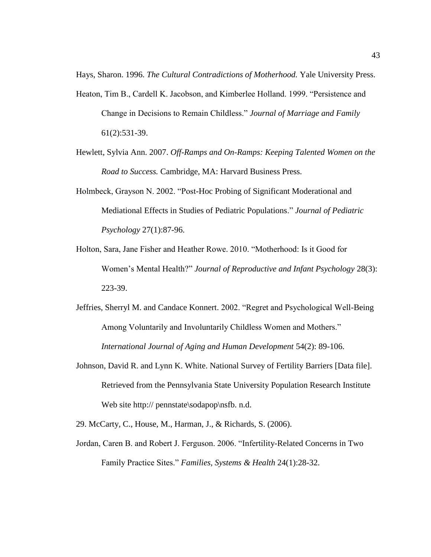Hays, Sharon. 1996. *The Cultural Contradictions of Motherhood.* Yale University Press.

- Heaton, Tim B., Cardell K. Jacobson, and Kimberlee Holland. 1999. "Persistence and Change in Decisions to Remain Childless.‖ *Journal of Marriage and Family* 61(2):531-39.
- Hewlett, Sylvia Ann. 2007. *Off-Ramps and On-Ramps: Keeping Talented Women on the Road to Success.* Cambridge, MA: Harvard Business Press.
- Holmbeck, Grayson N. 2002. "Post-Hoc Probing of Significant Moderational and Mediational Effects in Studies of Pediatric Populations.‖ *Journal of Pediatric Psychology* 27(1):87-96.
- Holton, Sara, Jane Fisher and Heather Rowe. 2010. "Motherhood: Is it Good for Women's Mental Health?" *Journal of Reproductive and Infant Psychology* 28(3): 223-39.
- Jeffries, Sherryl M. and Candace Konnert. 2002. "Regret and Psychological Well-Being Among Voluntarily and Involuntarily Childless Women and Mothers." *International Journal of Aging and Human Development* 54(2): 89-106.
- Johnson, David R. and Lynn K. White. National Survey of Fertility Barriers [Data file]. Retrieved from the Pennsylvania State University Population Research Institute Web site http:// pennstate\sodapop\nsfb. n.d.
- 29. McCarty, C., House, M., Harman, J., & Richards, S. (2006).
- Jordan, Caren B. and Robert J. Ferguson. 2006. "Infertility-Related Concerns in Two Family Practice Sites.‖ *Families, Systems & Health* 24(1):28-32.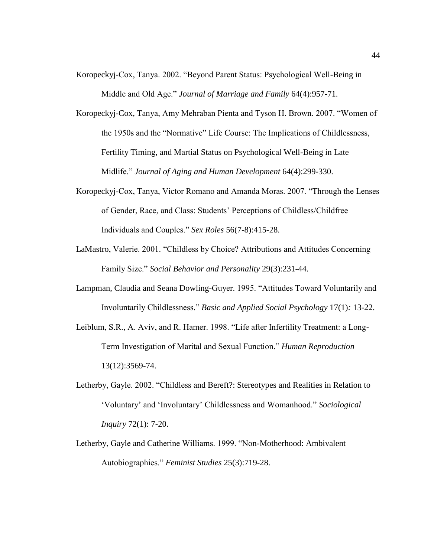- Koropeckyj-Cox, Tanya. 2002. "Beyond Parent Status: Psychological Well-Being in Middle and Old Age.‖ *Journal of Marriage and Family* 64(4):957-71.
- Koropeckyj-Cox, Tanya, Amy Mehraban Pienta and Tyson H. Brown. 2007. "Women of the 1950s and the "Normative" Life Course: The Implications of Childlessness, Fertility Timing, and Martial Status on Psychological Well-Being in Late Midlife.‖ *Journal of Aging and Human Development* 64(4):299-330.
- Koropeckyj-Cox, Tanya, Victor Romano and Amanda Moras. 2007. "Through the Lenses of Gender, Race, and Class: Students' Perceptions of Childless/Childfree Individuals and Couples.‖ *Sex Roles* 56(7-8):415-28.
- LaMastro, Valerie. 2001. "Childless by Choice? Attributions and Attitudes Concerning Family Size." *Social Behavior and Personality* 29(3):231-44.
- Lampman, Claudia and Seana Dowling-Guyer. 1995. "Attitudes Toward Voluntarily and Involuntarily Childlessness.‖ *Basic and Applied Social Psychology* 17(1)*:* 13-22.
- Leiblum, S.R., A. Aviv, and R. Hamer. 1998. "Life after Infertility Treatment: a Long-Term Investigation of Marital and Sexual Function.‖ *Human Reproduction* 13(12):3569-74.
- Letherby, Gayle. 2002. "Childless and Bereft?: Stereotypes and Realities in Relation to ‗Voluntary' and ‗Involuntary' Childlessness and Womanhood.‖ *Sociological Inquiry* 72(1): 7-20.
- Letherby, Gayle and Catherine Williams. 1999. "Non-Motherhood: Ambivalent Autobiographies.‖ *Feminist Studies* 25(3):719-28.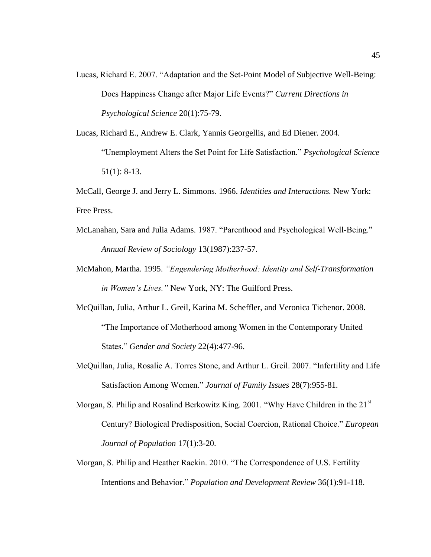Lucas, Richard E. 2007. "Adaptation and the Set-Point Model of Subjective Well-Being: Does Happiness Change after Major Life Events?" *Current Directions in Psychological Science* 20(1):75-79.

Lucas, Richard E., Andrew E. Clark, Yannis Georgellis, and Ed Diener. 2004. ―Unemployment Alters the Set Point for Life Satisfaction.‖ *Psychological Science*  51(1): 8-13.

McCall, George J. and Jerry L. Simmons. 1966. *Identities and Interactions.* New York: Free Press.

- McLanahan, Sara and Julia Adams. 1987. "Parenthood and Psychological Well-Being." *Annual Review of Sociology* 13(1987):237-57.
- McMahon, Martha. 1995. *"Engendering Motherhood: Identity and Self-Transformation in Women's Lives."* New York, NY: The Guilford Press.
- McQuillan, Julia, Arthur L. Greil, Karina M. Scheffler, and Veronica Tichenor. 2008. ―The Importance of Motherhood among Women in the Contemporary United States." *Gender and Society* 22(4):477-96.
- McQuillan, Julia, Rosalie A. Torres Stone, and Arthur L. Greil. 2007. "Infertility and Life Satisfaction Among Women." *Journal of Family Issues* 28(7):955-81.

Morgan, S. Philip and Rosalind Berkowitz King. 2001. "Why Have Children in the 21st Century? Biological Predisposition, Social Coercion, Rational Choice." *European Journal of Population* 17(1):3-20.

Morgan, S. Philip and Heather Rackin. 2010. "The Correspondence of U.S. Fertility Intentions and Behavior.‖ *Population and Development Review* 36(1):91-118.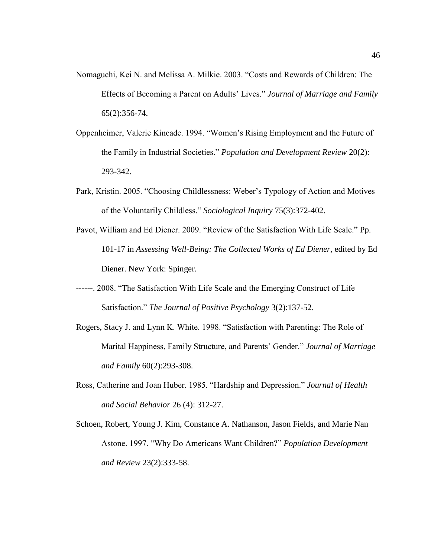- Nomaguchi, Kei N. and Melissa A. Milkie. 2003. "Costs and Rewards of Children: The Effects of Becoming a Parent on Adults' Lives.‖ *Journal of Marriage and Family* 65(2):356-74.
- Oppenheimer, Valerie Kincade. 1994. "Women's Rising Employment and the Future of the Family in Industrial Societies.‖ *Population and Development Review* 20(2): 293-342.
- Park, Kristin. 2005. "Choosing Childlessness: Weber's Typology of Action and Motives of the Voluntarily Childless.‖ *Sociological Inquiry* 75(3):372-402.
- Pavot, William and Ed Diener. 2009. "Review of the Satisfaction With Life Scale." Pp. 101-17 in *Assessing Well-Being: The Collected Works of Ed Diener*, edited by Ed Diener. New York: Spinger.
- ------. 2008. "The Satisfaction With Life Scale and the Emerging Construct of Life Satisfaction.‖ *The Journal of Positive Psychology* 3(2):137-52.
- Rogers, Stacy J. and Lynn K. White. 1998. "Satisfaction with Parenting: The Role of Marital Happiness, Family Structure, and Parents' Gender." *Journal of Marriage and Family* 60(2):293-308.
- Ross, Catherine and Joan Huber. 1985. "Hardship and Depression." *Journal of Health and Social Behavior* 26 (4): 312-27.
- Schoen, Robert, Young J. Kim, Constance A. Nathanson, Jason Fields, and Marie Nan Astone. 1997. "Why Do Americans Want Children?" *Population Development and Review* 23(2):333-58.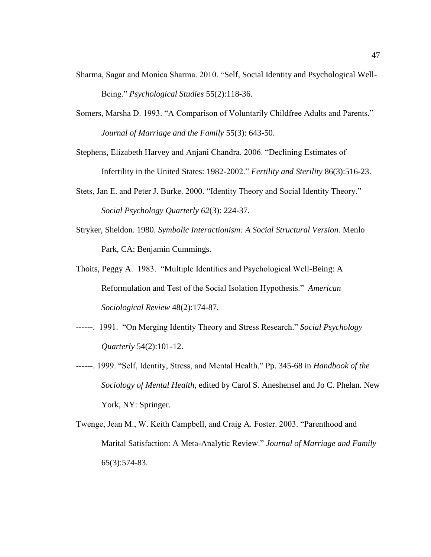- Sharma, Sagar and Monica Sharma. 2010. "Self, Social Identity and Psychological Well-Being.‖ *Psychological Studies* 55(2):118-36.
- Somers, Marsha D. 1993. "A Comparison of Voluntarily Childfree Adults and Parents." *Journal of Marriage and the Family* 55(3): 643-50.
- Stephens, Elizabeth Harvey and Anjani Chandra. 2006. "Declining Estimates of Infertility in the United States: 1982-2002.‖ *Fertility and Sterility* 86(3):516-23.
- Stets, Jan E. and Peter J. Burke. 2000. "Identity Theory and Social Identity Theory." *Social Psychology Quarterly 62*(3): 224-37.
- Stryker, Sheldon. 1980. *Symbolic Interactionism: A Social Structural Version.* Menlo Park, CA: Benjamin Cummings.
- Thoits, Peggy A. 1983. "Multiple Identities and Psychological Well-Being: A Reformulation and Test of the Social Isolation Hypothesis." American *Sociological Review* 48(2):174-87.
- ------. 1991. ―On Merging Identity Theory and Stress Research.‖ *Social Psychology Quarterly* 54(2):101-12.
- ------. 1999. "Self, Identity, Stress, and Mental Health." Pp. 345-68 in *Handbook of the Sociology of Mental Health*, edited by Carol S. Aneshensel and Jo C. Phelan. New York, NY: Springer.
- Twenge, Jean M., W. Keith Campbell, and Craig A. Foster. 2003. "Parenthood and Marital Satisfaction: A Meta-Analytic Review.‖ *Journal of Marriage and Family* 65(3):574-83.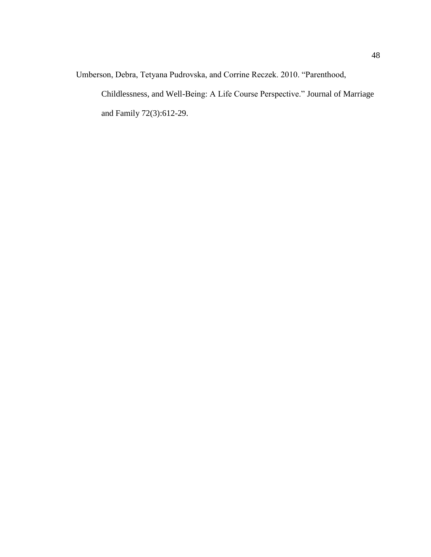Umberson, Debra, Tetyana Pudrovska, and Corrine Reczek. 2010. "Parenthood,

Childlessness, and Well-Being: A Life Course Perspective." Journal of Marriage and Family 72(3):612-29.